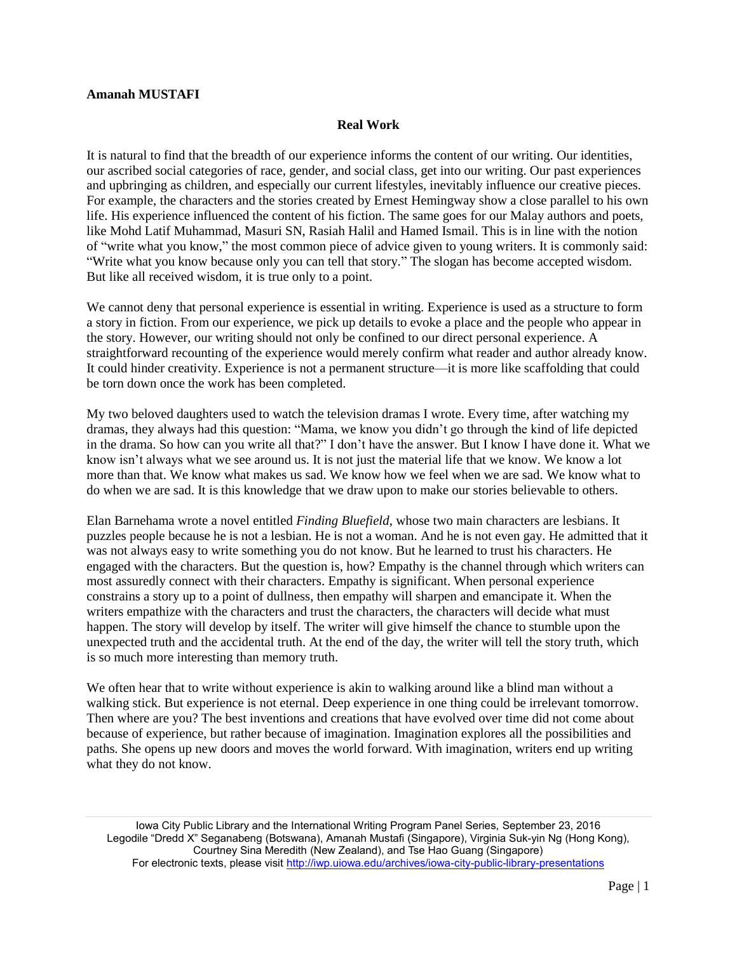## **Amanah MUSTAFI**

## **Real Work**

It is natural to find that the breadth of our experience informs the content of our writing. Our identities, our ascribed social categories of race, gender, and social class, get into our writing. Our past experiences and upbringing as children, and especially our current lifestyles, inevitably influence our creative pieces. For example, the characters and the stories created by Ernest Hemingway show a close parallel to his own life. His experience influenced the content of his fiction. The same goes for our Malay authors and poets, like Mohd Latif Muhammad, Masuri SN, Rasiah Halil and Hamed Ismail. This is in line with the notion of "write what you know," the most common piece of advice given to young writers. It is commonly said: "Write what you know because only you can tell that story." The slogan has become accepted wisdom. But like all received wisdom, it is true only to a point.

We cannot deny that personal experience is essential in writing. Experience is used as a structure to form a story in fiction. From our experience, we pick up details to evoke a place and the people who appear in the story. However, our writing should not only be confined to our direct personal experience. A straightforward recounting of the experience would merely confirm what reader and author already know. It could hinder creativity. Experience is not a permanent structure—it is more like scaffolding that could be torn down once the work has been completed.

My two beloved daughters used to watch the television dramas I wrote. Every time, after watching my dramas, they always had this question: "Mama, we know you didn't go through the kind of life depicted in the drama. So how can you write all that?" I don't have the answer. But I know I have done it. What we know isn't always what we see around us. It is not just the material life that we know. We know a lot more than that. We know what makes us sad. We know how we feel when we are sad. We know what to do when we are sad. It is this knowledge that we draw upon to make our stories believable to others.

Elan Barnehama wrote a novel entitled *Finding Bluefield*, whose two main characters are lesbians. It puzzles people because he is not a lesbian. He is not a woman. And he is not even gay. He admitted that it was not always easy to write something you do not know. But he learned to trust his characters. He engaged with the characters. But the question is, how? Empathy is the channel through which writers can most assuredly connect with their characters. Empathy is significant. When personal experience constrains a story up to a point of dullness, then empathy will sharpen and emancipate it. When the writers empathize with the characters and trust the characters, the characters will decide what must happen. The story will develop by itself. The writer will give himself the chance to stumble upon the unexpected truth and the accidental truth. At the end of the day, the writer will tell the story truth, which is so much more interesting than memory truth.

We often hear that to write without experience is akin to walking around like a blind man without a walking stick. But experience is not eternal. Deep experience in one thing could be irrelevant tomorrow. Then where are you? The best inventions and creations that have evolved over time did not come about because of experience, but rather because of imagination. Imagination explores all the possibilities and paths. She opens up new doors and moves the world forward. With imagination, writers end up writing what they do not know.

Iowa City Public Library and the International Writing Program Panel Series, September 23, 2016 Legodile "Dredd X" Seganabeng (Botswana), Amanah Mustafi (Singapore), Virginia Suk-yin Ng (Hong Kong), Courtney Sina Meredith (New Zealand), and Tse Hao Guang (Singapore) For electronic texts, please visit<http://iwp.uiowa.edu/archives/iowa-city-public-library-presentations>